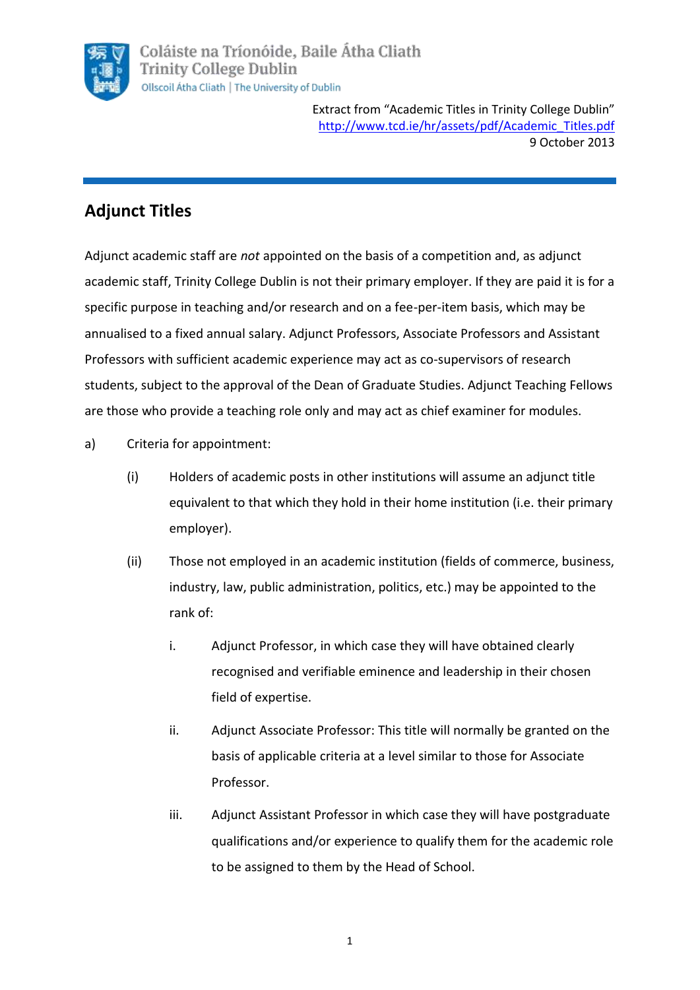

Extract from "Academic Titles in Trinity College Dublin" [http://www.tcd.ie/hr/assets/pdf/Academic\\_Titles.pdf](http://www.tcd.ie/hr/assets/pdf/Academic_Titles.pdf) 9 October 2013

## **Adjunct Titles**

Adjunct academic staff are *not* appointed on the basis of a competition and, as adjunct academic staff, Trinity College Dublin is not their primary employer. If they are paid it is for a specific purpose in teaching and/or research and on a fee-per-item basis, which may be annualised to a fixed annual salary. Adjunct Professors, Associate Professors and Assistant Professors with sufficient academic experience may act as co-supervisors of research students, subject to the approval of the Dean of Graduate Studies. Adjunct Teaching Fellows are those who provide a teaching role only and may act as chief examiner for modules.

- a) Criteria for appointment:
	- (i) Holders of academic posts in other institutions will assume an adjunct title equivalent to that which they hold in their home institution (i.e. their primary employer).
	- (ii) Those not employed in an academic institution (fields of commerce, business, industry, law, public administration, politics, etc.) may be appointed to the rank of:
		- i. Adjunct Professor, in which case they will have obtained clearly recognised and verifiable eminence and leadership in their chosen field of expertise.
		- ii. Adjunct Associate Professor: This title will normally be granted on the basis of applicable criteria at a level similar to those for Associate Professor.
		- iii. Adjunct Assistant Professor in which case they will have postgraduate qualifications and/or experience to qualify them for the academic role to be assigned to them by the Head of School.

1